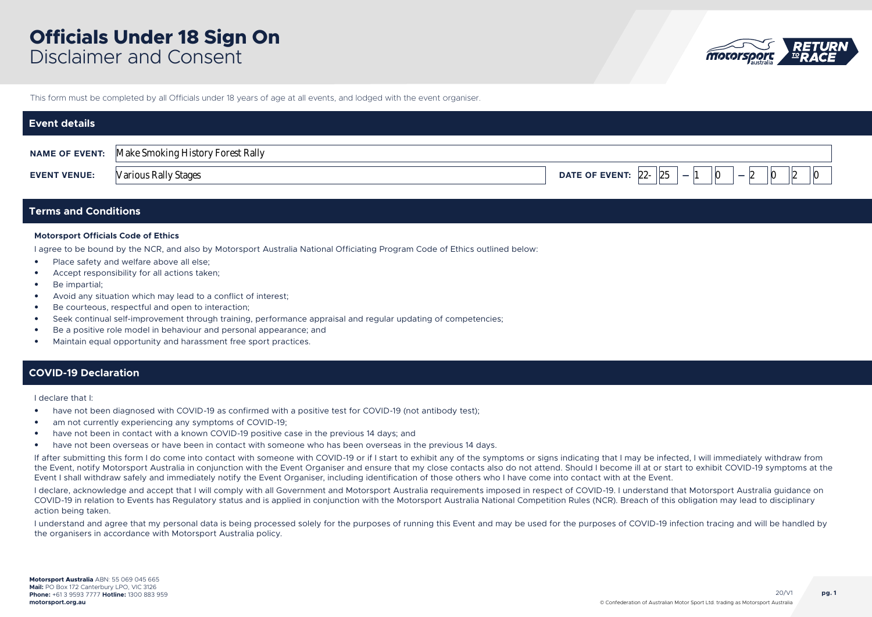

This form must be completed by all Officials under 18 years of age at all events, and lodged with the event organiser.

| <b>Event details</b>  |                                   |                                                                                                      |
|-----------------------|-----------------------------------|------------------------------------------------------------------------------------------------------|
| <b>NAME OF EVENT:</b> | Make Smoking History Forest Rally |                                                                                                      |
| <b>EVENT VENUE:</b>   | <b>Various Rally Stages</b>       | DATE OF EVENT: $22 -  25 $<br>$\vert$ 0<br>0<br>$\overline{\phantom{0}}$<br>$\overline{\phantom{0}}$ |

## **Terms and Conditions**

### **Motorsport Officials Code of Ethics**

I agree to be bound by the NCR, and also by Motorsport Australia National Officiating Program Code of Ethics outlined below:

- Place safety and welfare above all else;
- Accept responsibility for all actions taken;
- Be impartial;
- Avoid any situation which may lead to a conflict of interest;
- Be courteous, respectful and open to interaction;
- Seek continual self-improvement through training, performance appraisal and regular updating of competencies;
- Be a positive role model in behaviour and personal appearance; and
- Maintain equal opportunity and harassment free sport practices.

### **COVID-19 Declaration**

I declare that I:

- have not been diagnosed with COVID-19 as confirmed with a positive test for COVID-19 (not antibody test);
- am not currently experiencing any symptoms of COVID-19;
- have not been in contact with a known COVID-19 positive case in the previous 14 days; and
- have not been overseas or have been in contact with someone who has been overseas in the previous 14 days.

If after submitting this form I do come into contact with someone with COVID-19 or if I start to exhibit any of the symptoms or signs indicating that I may be infected, I will immediately withdraw from the Event, notify Motorsport Australia in conjunction with the Event Organiser and ensure that my close contacts also do not attend. Should I become ill at or start to exhibit COVID-19 symptoms at the Event I shall withdraw safely and immediately notify the Event Organiser, including identification of those others who I have come into contact with at the Event.

I declare, acknowledge and accept that I will comply with all Government and Motorsport Australia requirements imposed in respect of COVID-19. I understand that Motorsport Australia guidance on COVID-19 in relation to Events has Regulatory status and is applied in conjunction with the Motorsport Australia National Competition Rules (NCR). Breach of this obligation may lead to disciplinary action being taken.

I understand and agree that my personal data is being processed solely for the purposes of running this Event and may be used for the purposes of COVID-19 infection tracing and will be handled by the organisers in accordance with Motorsport Australia policy.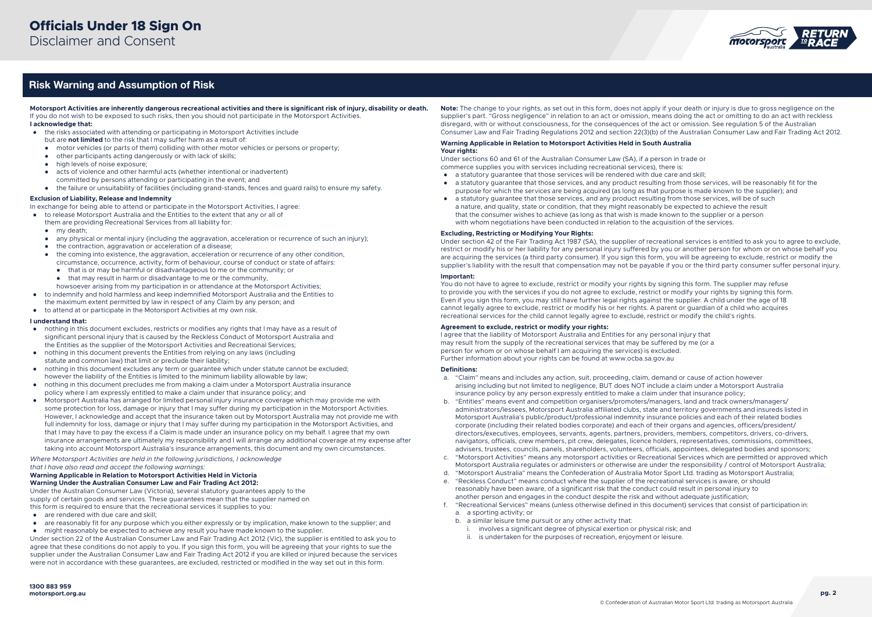

## Risk Warning and Assumption of Risk

**Motorsport Activities are inherently dangerous recreational activities and there is significant risk of injury, disability or death.** If you do not wish to be exposed to such risks, then you should not participate in the Motorsport Activities.

- **I acknowledge that:**
- the risks associated with attending or participating in Motorsport Activities include
	- but are **not limited** to the risk that I may suffer harm as a result of:
	- motor vehicles (or parts of them) colliding with other motor vehicles or persons or property;
	- other participants acting dangerously or with lack of skills;
	- high levels of noise exposure;
	- acts of violence and other harmful acts (whether intentional or inadvertent)
	- committed by persons attending or participating in the event; and
	- the failure or unsuitability of facilities (including grand-stands, fences and guard rails) to ensure my safety.

#### **Exclusion of Liability, Release and Indemnity**

In exchange for being able to attend or participate in the Motorsport Activities, I agree:

- to release Motorsport Australia and the Entities to the extent that any or all of them are providing Recreational Services from all liability for:
	- my death;
	- any physical or mental injury (including the aggravation, acceleration or recurrence of such an injury);
	- the contraction, aggravation or acceleration of a disease;
	- the coming into existence, the aggravation, acceleration or recurrence of any other condition, circumstance, occurrence, activity, form of behaviour, course of conduct or state of affairs:
		- that is or may be harmful or disadvantageous to me or the community; or
		- $\bullet$  that may result in harm or disadvantage to me or the community.
	- howsoever arising from my participation in or attendance at the Motorsport Activities;
- to indemnify and hold harmless and keep indemnified Motorsport Australia and the Entities to the maximum extent permitted by law in respect of any Claim by any person; and
- to attend at or participate in the Motorsport Activities at my own risk.

#### **I understand that:**

- nothing in this document excludes, restricts or modifies any rights that I may have as a result of significant personal injury that is caused by the Reckless Conduct of Motorsport Australia and the Entities as the supplier of the Motorsport Activities and Recreational Services;
- nothing in this document prevents the Entities from relying on any laws (including statute and common law) that limit or preclude their liability;
- nothing in this document excludes any term or guarantee which under statute cannot be excluded; however the liability of the Entities is limited to the minimum liability allowable by law;
- nothing in this document precludes me from making a claim under a Motorsport Australia insurance policy where I am expressly entitled to make a claim under that insurance policy; and
- Motorsport Australia has arranged for limited personal injury insurance coverage which may provide me with some protection for loss, damage or injury that I may suffer during my participation in the Motorsport Activities. However, I acknowledge and accept that the insurance taken out by Motorsport Australia may not provide me with full indemnity for loss, damage or injury that I may suffer during my participation in the Motorsport Activities, and that I may have to pay the excess if a Claim is made under an insurance policy on my behalf. I agree that my own insurance arrangements are ultimately my responsibility and I will arrange any additional coverage at my expense after taking into account Motorsport Australia's insurance arrangements, this document and my own circumstances.

*Where Motorsport Activities are held in the following jurisdictions, I acknowledge that I have also read and accept the following warnings:*

#### **Warning Applicable in Relation to Motorsport Activities Held in Victoria Warning Under the Australian Consumer Law and Fair Trading Act 2012:**

Under the Australian Consumer Law (Victoria), several statutory guarantees apply to the supply of certain goods and services. These guarantees mean that the supplier named on this form is required to ensure that the recreational services it supplies to you:

- are rendered with due care and skill;
- are reasonably fit for any purpose which you either expressly or by implication, make known to the supplier; and
- might reasonably be expected to achieve any result you have made known to the supplier.

Under section 22 of the Australian Consumer Law and Fair Trading Act 2012 (Vic), the supplier is entitled to ask you to agree that these conditions do not apply to you. If you sign this form, you will be agreeing that your rights to sue the supplier under the Australian Consumer Law and Fair Trading Act 2012 if you are killed or injured because the services were not in accordance with these guarantees, are excluded, restricted or modified in the way set out in this form.

**Note:** The change to your rights, as set out in this form, does not apply if your death or injury is due to gross negligence on the supplier's part. "Gross negligence" in relation to an act or omission, means doing the act or omitting to do an act with reckless disregard, with or without consciousness, for the consequences of the act or omission. See regulation 5 of the Australian Consumer Law and Fair Trading Regulations 2012 and section 22(3)(b) of the Australian Consumer Law and Fair Trading Act 2012.

#### **Warning Applicable in Relation to Motorsport Activities Held in South Australia Your rights:**

Under sections 60 and 61 of the Australian Consumer Law (SA), if a person in trade or commerce supplies you with services including recreational services), there is:

- a statutory guarantee that those services will be rendered with due care and skill;
- a statutory guarantee that those services, and any product resulting from those services, will be reasonably fit for the purpose for which the services are being acquired (as long as that purpose is made known to the supplier); and
- a statutory guarantee that those services, and any product resulting from those services, will be of such a nature, and quality, state or condition, that they might reasonably be expected to achieve the result that the consumer wishes to achieve (as long as that wish is made known to the supplier or a person with whom negotiations have been conducted in relation to the acquisition of the services.

#### **Excluding, Restricting or Modifying Your Rights:**

Under section 42 of the Fair Trading Act 1987 (SA), the supplier of recreational services is entitled to ask you to agree to exclude, restrict or modify his or her liability for any personal injury suffered by you or another person for whom or on whose behalf you are acquiring the services (a third party consumer). If you sign this form, you will be agreeing to exclude, restrict or modify the supplier's liability with the result that compensation may not be payable if you or the third party consumer suffer personal injury.

#### **Important:**

You do not have to agree to exclude, restrict or modify your rights by signing this form. The supplier may refuse to provide you with the services if you do not agree to exclude, restrict or modify your rights by signing this form. Even if you sign this form, you may still have further legal rights against the supplier. A child under the age of 18 cannot legally agree to exclude, restrict or modify his or her rights. A parent or guardian of a child who acquires recreational services for the child cannot legally agree to exclude, restrict or modify the child's rights.

#### **Agreement to exclude, restrict or modify your rights:**

I agree that the liability of Motorsport Australia and Entities for any personal injury that may result from the supply of the recreational services that may be suffered by me (or a person for whom or on whose behalf I am acquiring the services) is excluded. Further information about your rights can be found at www.ocba.sa.gov.au

#### **Definitions:**

- a. "Claim" means and includes any action, suit, proceeding, claim, demand or cause of action however arising including but not limited to negligence, BUT does NOT include a claim under a Motorsport Australia insurance policy by any person expressly entitled to make a claim under that insurance policy;
- b. "Entities" means event and competition organisers/promoters/managers, land and track owners/managers/ administrators/lessees, Motorsport Australia affiliated clubs, state and territory governments and insureds listed in Motorsport Australia's public/product/professional indemnity insurance policies and each of their related bodies corporate (including their related bodies corporate) and each of their organs and agencies, officers/president/ directors/executives, employees, servants, agents, partners, providers, members, competitors, drivers, co-drivers, navigators, officials, crew members, pit crew, delegates, licence holders, representatives, commissions, committees, advisers, trustees, councils, panels, shareholders, volunteers, officials, appointees, delegated bodies and sponsors;
- c. "Motorsport Activities" means any motorsport activities or Recreational Services which are permitted or approved which Motorsport Australia regulates or administers or otherwise are under the responsibility / control of Motorsport Australia;
- d. "Motorsport Australia" means the Confederation of Australia Motor Sport Ltd. trading as Motorsport Australia;
- e. "Reckless Conduct" means conduct where the supplier of the recreational services is aware, or should reasonably have been aware, of a significant risk that the conduct could result in personal injury to another person and engages in the conduct despite the risk and without adequate justification;
- f. "Recreational Services" means (unless otherwise defined in this document) services that consist of participation in: a. a sporting activity; or
	- b. a similar leisure time pursuit or any other activity that:
		- i. involves a significant degree of physical exertion or physical risk; and
		- ii. is undertaken for the purposes of recreation, enjoyment or leisure.